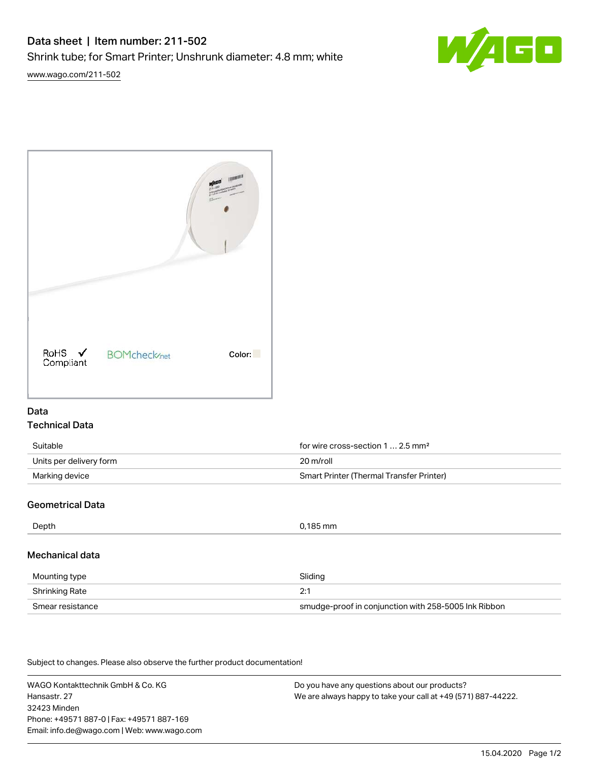

[www.wago.com/211-502](http://www.wago.com/211-502)



# Data Technical Data

| Suitable                | for wire cross-section 1  2.5 mm <sup>2</sup> |
|-------------------------|-----------------------------------------------|
| Units per delivery form | 20 m/roll                                     |
| Marking device          | Smart Printer (Thermal Transfer Printer)      |

# Geometrical Data

| Depth<br>0,185 mm |  |
|-------------------|--|

# Mechanical data

| Mounting type    | Sliding                                              |
|------------------|------------------------------------------------------|
| Shrinking Rate   |                                                      |
| Smear resistance | smudge-proof in conjunction with 258-5005 Ink Ribbon |

Subject to changes. Please also observe the further product documentation!

WAGO Kontakttechnik GmbH & Co. KG Hansastr. 27 32423 Minden Phone: +49571 887-0 | Fax: +49571 887-169 Email: info.de@wago.com | Web: www.wago.com

Do you have any questions about our products? We are always happy to take your call at +49 (571) 887-44222.